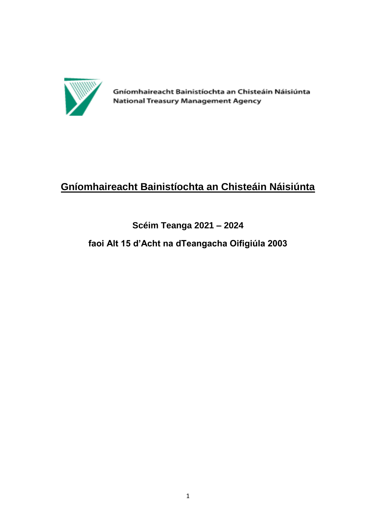

Gníomhaireacht Bainistíochta an Chisteáin Náisiúnta National Treasury Management Agency

# **Gníomhaireacht Bainistíochta an Chisteáin Náisiúnta**

# **Scéim Teanga 2021 – 2024**

# **faoi Alt 15 d'Acht na dTeangacha Oifigiúla 2003**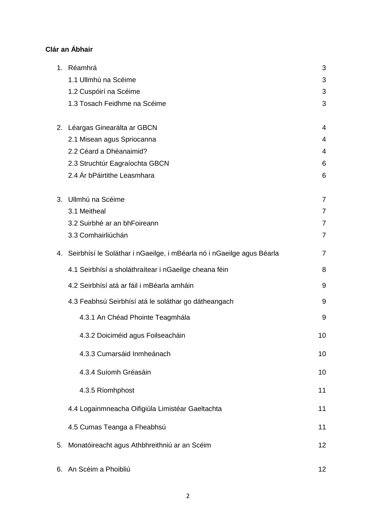# **Clár an Ábhair**

|    | 1. Réamhrá                                                               | 3                 |
|----|--------------------------------------------------------------------------|-------------------|
|    | 1.1 Ullmhú na Scéime                                                     | 3                 |
|    | 1.2 Cuspóirí na Scéime                                                   | 3                 |
|    | 1.3 Tosach Feidhme na Scéime                                             | 3                 |
|    | 2. Léargas Ginearálta ar GBCN                                            | 4                 |
|    | 2.1 Misean agus Spriocanna                                               | 4                 |
|    | 2.2 Céard a Dhéanaimid?                                                  | 4                 |
|    | 2.3 Struchtúr Eagraíochta GBCN                                           | 6                 |
|    | 2.4 Ár bPáirtithe Leasmhara                                              | 6                 |
| 3. | Ullmhú na Scéime                                                         | 7                 |
|    | 3.1 Meitheal                                                             | $\overline{7}$    |
|    | 3.2 Suirbhé ar an bhFoireann                                             | $\overline{7}$    |
|    | 3.3 Comhairliúchán                                                       | $\overline{7}$    |
|    | 4. Seirbhísí le Soláthar i nGaeilge, i mBéarla nó i nGaeilge agus Béarla | $\overline{7}$    |
|    | 4.1 Seirbhísí a sholáthraítear i nGaeilge cheana féin                    | 8                 |
|    | 4.2 Seirbhísí atá ar fáil i mBéarla amháin                               | 9                 |
|    | 4.3 Feabhsú Seirbhísí atá le soláthar go dátheangach                     | 9                 |
|    | 4.3.1 An Chéad Phointe Teagmhála                                         | 9                 |
|    | 4.3.2 Doiciméid agus Foilseacháin                                        | 10                |
|    | 4.3.3 Cumarsáid Inmheánach                                               | 10                |
|    | 4.3.4 Suíomh Gréasáin                                                    | 10                |
|    | 4.3.5 Ríomhphost                                                         | 11                |
|    | 4.4 Logainmneacha Oifigiúla Limistéar Gaeltachta                         | 11                |
|    | 4.5 Cumas Teanga a Fheabhsú                                              | 11                |
| 5. | Monatóireacht agus Athbhreithniú ar an Scéim                             | 12                |
|    | 6. An Scéim a Phoibliú                                                   | $12 \overline{ }$ |

2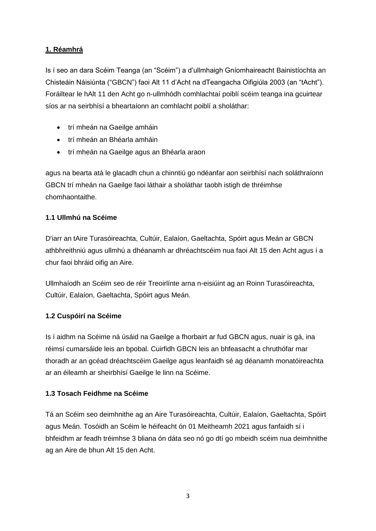### **1. Réamhrá**

Is í seo an dara Scéim Teanga (an "Scéim") a d'ullmhaigh Gníomhaireacht Bainistíochta an Chisteáin Náisiúnta ("GBCN") faoi Alt 11 d'Acht na dTeangacha Oifigiúla 2003 (an "tAcht"). Foráiltear le hAlt 11 den Acht go n-ullmhódh comhlachtaí poiblí scéim teanga ina gcuirtear síos ar na seirbhísí a bheartaíonn an comhlacht poiblí a sholáthar:

- trí mheán na Gaeilge amháin
- trí mheán an Bhéarla amháin
- trí mheán na Gaeilge agus an Bhéarla araon

agus na bearta atá le glacadh chun a chinntiú go ndéanfar aon seirbhísí nach soláthraíonn GBCN trí mheán na Gaeilge faoi láthair a sholáthar taobh istigh de thréimhse chomhaontaithe.

#### **1.1 Ullmhú na Scéime**

D'iarr an tAire Turasóireachta, Cultúir, Ealaíon, Gaeltachta, Spóirt agus Meán ar GBCN athbhreithniú agus ullmhú a dhéanamh ar dhréachtscéim nua faoi Alt 15 den Acht agus í a chur faoi bhráid oifig an Aire.

Ullmhaíodh an Scéim seo de réir Treoirlínte arna n-eisiúint ag an Roinn Turasóireachta, Cultúir, Ealaíon, Gaeltachta, Spóirt agus Meán.

#### **1.2 Cuspóirí na Scéime**

Is í aidhm na Scéime ná úsáid na Gaeilge a fhorbairt ar fud GBCN agus, nuair is gá, ina réimsí cumarsáide leis an bpobal. Cuirfidh GBCN leis an bhfeasacht a chruthófar mar thoradh ar an gcéad dréachtscéim Gaeilge agus leanfaidh sé ag déanamh monatóireachta ar an éileamh ar sheirbhísí Gaeilge le linn na Scéime.

#### **1.3 Tosach Feidhme na Scéime**

Tá an Scéim seo deimhnithe ag an Aire Turasóireachta, Cultúir, Ealaíon, Gaeltachta, Spóirt agus Meán. Tosóidh an Scéim le héifeacht ón 01 Meitheamh 2021 agus fanfaidh sí i bhfeidhm ar feadh tréimhse 3 bliana ón dáta seo nó go dtí go mbeidh scéim nua deimhnithe ag an Aire de bhun Alt 15 den Acht.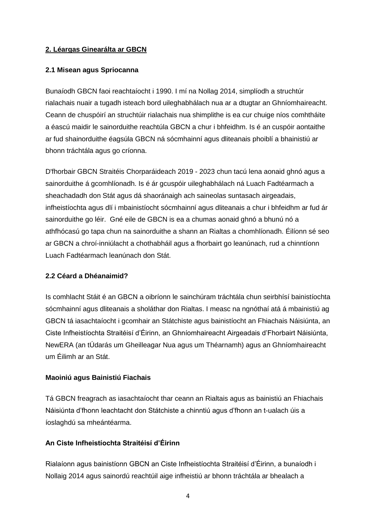#### **2. Léargas Ginearálta ar GBCN**

#### **2.1 Misean agus Spriocanna**

Bunaíodh GBCN faoi reachtaíocht i 1990. I mí na Nollag 2014, simplíodh a struchtúr rialachais nuair a tugadh isteach bord uileghabhálach nua ar a dtugtar an Ghníomhaireacht. Ceann de chuspóirí an struchtúir rialachais nua shimplithe is ea cur chuige níos comhtháite a éascú maidir le sainorduithe reachtúla GBCN a chur i bhfeidhm. Is é an cuspóir aontaithe ar fud shainorduithe éagsúla GBCN ná sócmhainní agus dliteanais phoiblí a bhainistiú ar bhonn tráchtála agus go críonna.

D'fhorbair GBCN Straitéis Chorparáideach 2019 - 2023 chun tacú lena aonaid ghnó agus a sainorduithe á gcomhlíonadh. Is é ár gcuspóir uileghabhálach ná Luach Fadtéarmach a sheachadadh don Stát agus dá shaoránaigh ach saineolas suntasach airgeadais, infheistíochta agus dlí i mbainistíocht sócmhainní agus dliteanais a chur i bhfeidhm ar fud ár sainorduithe go léir. Gné eile de GBCN is ea a chumas aonaid ghnó a bhunú nó a athfhócasú go tapa chun na sainorduithe a shann an Rialtas a chomhlíonadh. Éilíonn sé seo ar GBCN a chroí-inniúlacht a chothabháil agus a fhorbairt go leanúnach, rud a chinntíonn Luach Fadtéarmach leanúnach don Stát.

#### **2.2 Céard a Dhéanaimid?**

Is comhlacht Stáit é an GBCN a oibríonn le sainchúram tráchtála chun seirbhísí bainistíochta sócmhainní agus dliteanais a sholáthar don Rialtas. I measc na ngnóthaí atá á mbainistiú ag GBCN tá iasachtaíocht i gcomhair an Státchiste agus bainistíocht an Fhiachais Náisiúnta, an Ciste Infheistíochta Straitéisí d'Éirinn, an Ghníomhaireacht Airgeadais d'Fhorbairt Náisiúnta, NewERA (an tÚdarás um Gheilleagar Nua agus um Théarnamh) agus an Ghníomhaireacht um Éilimh ar an Stát.

#### **Maoiniú agus Bainistiú Fiachais**

Tá GBCN freagrach as iasachtaíocht thar ceann an Rialtais agus as bainistiú an Fhiachais Náisiúnta d'fhonn leachtacht don Státchiste a chinntiú agus d'fhonn an t-ualach úis a íoslaghdú sa mheántéarma.

### **An Ciste Infheistíochta Straitéisí d'Éirinn**

Rialaíonn agus bainistíonn GBCN an Ciste Infheistíochta Straitéisí d'Éirinn, a bunaíodh i Nollaig 2014 agus sainordú reachtúil aige infheistiú ar bhonn tráchtála ar bhealach a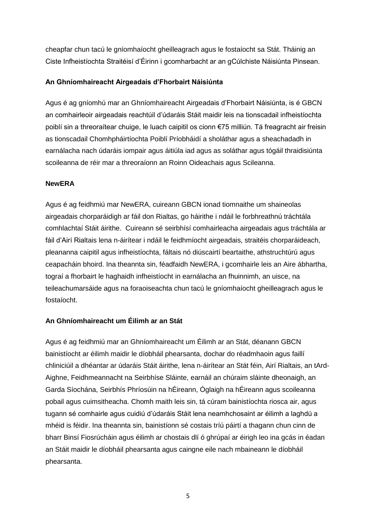cheapfar chun tacú le gníomhaíocht gheilleagrach agus le fostaíocht sa Stát. Tháinig an Ciste Infheistíochta Straitéisí d'Éirinn i gcomharbacht ar an gCúlchiste Náisiúnta Pinsean.

#### **An Ghníomhaireacht Airgeadais d'Fhorbairt Náisiúnta**

Agus é ag gníomhú mar an Ghníomhaireacht Airgeadais d'Fhorbairt Náisiúnta, is é GBCN an comhairleoir airgeadais reachtúil d'údaráis Stáit maidir leis na tionscadail infheistíochta poiblí sin a threoraítear chuige, le luach caipitil os cionn €75 milliún. Tá freagracht air freisin as tionscadail Chomhpháirtíochta Poiblí Príobháidí a sholáthar agus a sheachadadh in earnálacha nach údaráis iompair agus áitiúla iad agus as soláthar agus tógáil thraidisiúnta scoileanna de réir mar a threoraíonn an Roinn Oideachais agus Scileanna.

#### **NewERA**

Agus é ag feidhmiú mar NewERA, cuireann GBCN ionad tiomnaithe um shaineolas airgeadais chorparáidigh ar fáil don Rialtas, go háirithe i ndáil le forbhreathnú tráchtála comhlachtaí Stáit áirithe. Cuireann sé seirbhísí comhairleacha airgeadais agus tráchtála ar fáil d'Airí Rialtais lena n-áirítear i ndáil le feidhmíocht airgeadais, straitéis chorparáideach, pleananna caipitil agus infheistíochta, fáltais nó diúscairtí beartaithe, athstruchtúrú agus ceapacháin bhoird. Ina theannta sin, féadfaidh NewERA, i gcomhairle leis an Aire ábhartha, tograí a fhorbairt le haghaidh infheistíocht in earnálacha an fhuinnimh, an uisce, na teileachumarsáide agus na foraoiseachta chun tacú le gníomhaíocht gheilleagrach agus le fostaíocht.

#### **An Ghníomhaireacht um Éilimh ar an Stát**

Agus é ag feidhmiú mar an Ghníomhaireacht um Éilimh ar an Stát, déanann GBCN bainistíocht ar éilimh maidir le díobháil phearsanta, dochar do réadmhaoin agus faillí chliniciúil a dhéantar ar údaráis Stáit áirithe, lena n-áirítear an Stát féin, Airí Rialtais, an tArd-Aighne, Feidhmeannacht na Seirbhíse Sláinte, earnáil an chúraim sláinte dheonaigh, an Garda Síochána, Seirbhís Phríosúin na hÉireann, Óglaigh na hÉireann agus scoileanna pobail agus cuimsitheacha. Chomh maith leis sin, tá cúram bainistíochta riosca air, agus tugann sé comhairle agus cuidiú d'údaráis Stáit lena neamhchosaint ar éilimh a laghdú a mhéid is féidir. Ina theannta sin, bainistíonn sé costais tríú páirtí a thagann chun cinn de bharr Binsí Fiosrúcháin agus éilimh ar chostais dlí ó ghrúpaí ar éirigh leo ina gcás in éadan an Stáit maidir le díobháil phearsanta agus caingne eile nach mbaineann le díobháil phearsanta.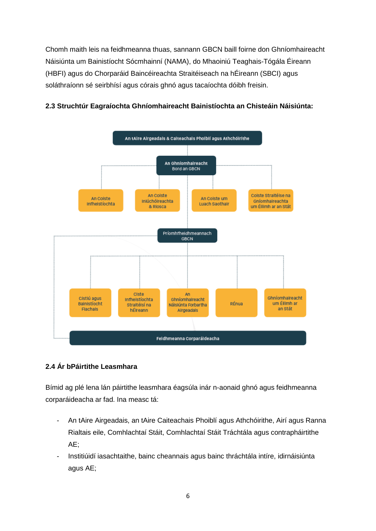Chomh maith leis na feidhmeanna thuas, sannann GBCN baill foirne don Ghníomhaireacht Náisiúnta um Bainistíocht Sócmhainní (NAMA), do Mhaoiniú Teaghais-Tógála Éireann (HBFI) agus do Chorparáid Baincéireachta Straitéiseach na hÉireann (SBCI) agus soláthraíonn sé seirbhísí agus córais ghnó agus tacaíochta dóibh freisin.



#### **2.3 Struchtúr Eagraíochta Ghníomhaireacht Bainistíochta an Chisteáin Náisiúnta:**

#### **2.4 Ár bPáirtithe Leasmhara**

Bímid ag plé lena lán páirtithe leasmhara éagsúla inár n-aonaid ghnó agus feidhmeanna corparáideacha ar fad. Ina measc tá:

- An tAire Airgeadais, an tAire Caiteachais Phoiblí agus Athchóirithe, Airí agus Ranna Rialtais eile, Comhlachtaí Stáit, Comhlachtaí Stáit Tráchtála agus contrapháirtithe AE;
- Institiúidí iasachtaithe, bainc cheannais agus bainc thráchtála intíre, idirnáisiúnta agus AE;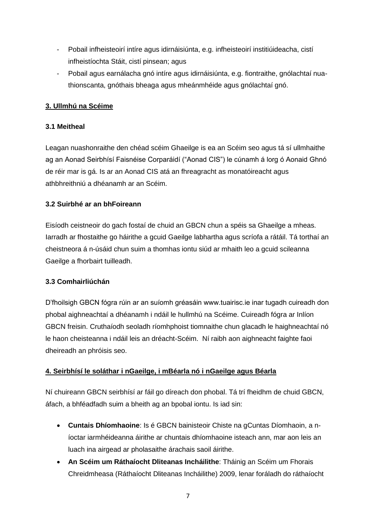- Pobail infheisteoirí intíre agus idirnáisiúnta, e.g. infheisteoirí institiúideacha, cistí infheistíochta Stáit, cistí pinsean; agus
- Pobail agus earnálacha gnó intíre agus idirnáisiúnta, e.g. fiontraithe, gnólachtaí nuathionscanta, gnóthais bheaga agus mheánmhéide agus gnólachtaí gnó.

#### **3. Ullmhú na Scéime**

#### **3.1 Meitheal**

Leagan nuashonraithe den chéad scéim Ghaeilge is ea an Scéim seo agus tá sí ullmhaithe ag an Aonad Seirbhísí Faisnéise Corparáidí ("Aonad CIS") le cúnamh á lorg ó Aonaid Ghnó de réir mar is gá. Is ar an Aonad CIS atá an fhreagracht as monatóireacht agus athbhreithniú a dhéanamh ar an Scéim.

#### **3.2 Suirbhé ar an bhFoireann**

Eisíodh ceistneoir do gach fostaí de chuid an GBCN chun a spéis sa Ghaeilge a mheas. Iarradh ar fhostaithe go háirithe a gcuid Gaeilge labhartha agus scríofa a rátáil. Tá torthaí an cheistneora á n-úsáid chun suim a thomhas iontu siúd ar mhaith leo a gcuid scileanna Gaeilge a fhorbairt tuilleadh.

#### **3.3 Comhairliúchán**

D'fhoilsigh GBCN fógra rúin ar an suíomh gréasáin www.tuairisc.ie inar tugadh cuireadh don phobal aighneachtaí a dhéanamh i ndáil le hullmhú na Scéime. Cuireadh fógra ar Inlíon GBCN freisin. Cruthaíodh seoladh ríomhphoist tiomnaithe chun glacadh le haighneachtaí nó le haon cheisteanna i ndáil leis an dréacht-Scéim. Ní raibh aon aighneacht faighte faoi dheireadh an phróisis seo.

#### **4. Seirbhísí le soláthar i nGaeilge, i mBéarla nó i nGaeilge agus Béarla**

Ní chuireann GBCN seirbhísí ar fáil go díreach don phobal. Tá trí fheidhm de chuid GBCN, áfach, a bhféadfadh suim a bheith ag an bpobal iontu. Is iad sin:

- **Cuntais Dhíomhaoine**: Is é GBCN bainisteoir Chiste na gCuntas Díomhaoin, a níoctar iarmhéideanna áirithe ar chuntais dhíomhaoine isteach ann, mar aon leis an luach ina airgead ar pholasaithe árachais saoil áirithe.
- **An Scéim um Ráthaíocht Dliteanas Incháilithe**: Tháinig an Scéim um Fhorais Chreidmheasa (Ráthaíocht Dliteanas Incháilithe) 2009, lenar foráladh do ráthaíocht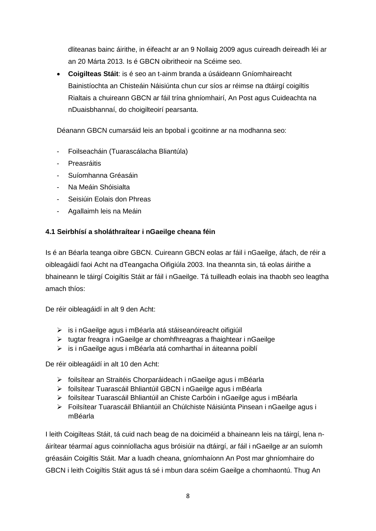dliteanas bainc áirithe, in éifeacht ar an 9 Nollaig 2009 agus cuireadh deireadh léi ar an 20 Márta 2013. Is é GBCN oibritheoir na Scéime seo.

 **Coigilteas Stáit**: is é seo an t-ainm branda a úsáideann Gníomhaireacht Bainistíochta an Chisteáin Náisiúnta chun cur síos ar réimse na dtáirgí coigiltis Rialtais a chuireann GBCN ar fáil trína ghníomhairí, An Post agus Cuideachta na nDuaisbhannaí, do choigilteoirí pearsanta.

Déanann GBCN cumarsáid leis an bpobal i gcoitinne ar na modhanna seo:

- Foilseacháin (Tuarascálacha Bliantúla)
- **Preasráitis**
- Suíomhanna Gréasáin
- Na Meáin Shóisialta
- Seisiúin Eolais don Phreas
- Agallaimh leis na Meáin

#### **4.1 Seirbhísí a sholáthraítear i nGaeilge cheana féin**

Is é an Béarla teanga oibre GBCN. Cuireann GBCN eolas ar fáil i nGaeilge, áfach, de réir a oibleagáidí faoi Acht na dTeangacha Oifigiúla 2003. Ina theannta sin, tá eolas áirithe a bhaineann le táirgí Coigiltis Stáit ar fáil i nGaeilge. Tá tuilleadh eolais ina thaobh seo leagtha amach thíos:

De réir oibleagáidí in alt 9 den Acht:

- is i nGaeilge agus i mBéarla atá stáiseanóireacht oifigiúil
- $\triangleright$  tugtar freagra i nGaeilge ar chomhfhreagras a fhaightear i nGaeilge
- is i nGaeilge agus i mBéarla atá comharthaí in áiteanna poiblí

De réir oibleagáidí in alt 10 den Acht:

- foilsítear an Straitéis Chorparáideach i nGaeilge agus i mBéarla
- foilsítear Tuarascáil Bhliantúil GBCN i nGaeilge agus i mBéarla
- foilsítear Tuarascáil Bhliantúil an Chiste Carbóin i nGaeilge agus i mBéarla
- Foilsítear Tuarascáil Bhliantúil an Chúlchiste Náisiúnta Pinsean i nGaeilge agus i mBéarla

I leith Coigilteas Stáit, tá cuid nach beag de na doiciméid a bhaineann leis na táirgí, lena náirítear téarmaí agus coinníollacha agus bróisiúir na dtáirgí, ar fáil i nGaeilge ar an suíomh gréasáin Coigiltis Stáit. Mar a luadh cheana, gníomhaíonn An Post mar ghníomhaire do GBCN i leith Coigiltis Stáit agus tá sé i mbun dara scéim Gaeilge a chomhaontú. Thug An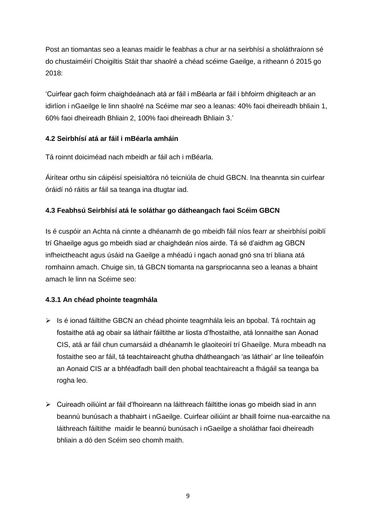Post an tiomantas seo a leanas maidir le feabhas a chur ar na seirbhísí a sholáthraíonn sé do chustaiméirí Choigiltis Stáit thar shaolré a chéad scéime Gaeilge, a ritheann ó 2015 go 2018:

'Cuirfear gach foirm chaighdeánach atá ar fáil i mBéarla ar fáil i bhfoirm dhigiteach ar an idirlíon i nGaeilge le linn shaolré na Scéime mar seo a leanas: 40% faoi dheireadh bhliain 1, 60% faoi dheireadh Bhliain 2, 100% faoi dheireadh Bhliain 3.'

# **4.2 Seirbhísí atá ar fáil i mBéarla amháin**

Tá roinnt doiciméad nach mbeidh ar fáil ach i mBéarla.

Áirítear orthu sin cáipéisí speisialtóra nó teicniúla de chuid GBCN. Ina theannta sin cuirfear óráidí nó ráitis ar fáil sa teanga ina dtugtar iad.

# **4.3 Feabhsú Seirbhísí atá le soláthar go dátheangach faoi Scéim GBCN**

Is é cuspóir an Achta ná cinnte a dhéanamh de go mbeidh fáil níos fearr ar sheirbhísí poiblí trí Ghaeilge agus go mbeidh siad ar chaighdeán níos airde. Tá sé d'aidhm ag GBCN infheictheacht agus úsáid na Gaeilge a mhéadú i ngach aonad gnó sna trí bliana atá romhainn amach. Chuige sin, tá GBCN tiomanta na garspriocanna seo a leanas a bhaint amach le linn na Scéime seo:

# **4.3.1 An chéad phointe teagmhála**

- $\triangleright$  Is é ionad fáiltithe GBCN an chéad phointe teagmhála leis an bpobal. Tá rochtain ag fostaithe atá ag obair sa láthair fáiltithe ar liosta d'fhostaithe, atá lonnaithe san Aonad CIS, atá ar fáil chun cumarsáid a dhéanamh le glaoiteoirí trí Ghaeilge. Mura mbeadh na fostaithe seo ar fáil, tá teachtaireacht ghutha dhátheangach 'as láthair' ar líne teileafóin an Aonaid CIS ar a bhféadfadh baill den phobal teachtaireacht a fhágáil sa teanga ba rogha leo.
- Cuireadh oiliúint ar fáil d'fhoireann na láithreach fáiltithe ionas go mbeidh siad in ann beannú bunúsach a thabhairt i nGaeilge. Cuirfear oiliúint ar bhaill foirne nua-earcaithe na láithreach fáiltithe maidir le beannú bunúsach i nGaeilge a sholáthar faoi dheireadh bhliain a dó den Scéim seo chomh maith.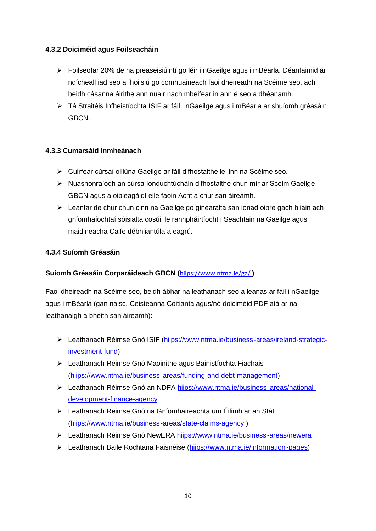#### **4.3.2 Doiciméid agus Foilseacháin**

- Foilseofar 20% de na preaseisiúintí go léir i nGaeilge agus i mBéarla. Déanfaimid ár ndícheall iad seo a fhoilsiú go comhuaineach faoi dheireadh na Scéime seo, ach beidh cásanna áirithe ann nuair nach mbeifear in ann é seo a dhéanamh.
- Tá Straitéis Infheistíochta ISIF ar fáil i nGaeilge agus i mBéarla ar shuíomh gréasáin GBCN.

#### **4.3.3 Cumarsáid Inmheánach**

- Cuirfear cúrsaí oiliúna Gaeilge ar fáil d'fhostaithe le linn na Scéime seo.
- Nuashonraíodh an cúrsa Ionduchtúcháin d'fhostaithe chun mír ar Scéim Gaeilge GBCN agus a oibleagáidí eile faoin Acht a chur san áireamh.
- Leanfar de chur chun cinn na Gaeilge go ginearálta san ionad oibre gach bliain ach gníomhaíochtaí sóisialta cosúil le rannpháirtíocht i Seachtain na Gaeilge agus maidineacha Caife débhliantúla a eagrú.

#### **4.3.4 Suíomh Gréasáin**

#### **Suíomh Gréasáin Corparáideach GBCN (**hiips://www.ntma.ie/ga/ **)**

Faoi dheireadh na Scéime seo, beidh ábhar na leathanach seo a leanas ar fáil i nGaeilge agus i mBéarla (gan naisc, Ceisteanna Coitianta agus/nó doiciméid PDF atá ar na leathanaigh a bheith san áireamh):

- > Leathanach Réimse Gnó ISIF (hiips://www.ntma.ie/business-areas/ireland-strategicinvestment-fund)
- Leathanach Réimse Gnó Maoinithe agus Bainistíochta Fiachais (hiips://www.ntma.ie/business-areas/funding-and-debt-management)
- Leathanach Réimse Gnó an NDFA hiips://www.ntma.ie/business-areas/nationaldevelopment-finance-agency
- Leathanach Réimse Gnó na Gníomhaireachta um Éilimh ar an Stát (hiips://www.ntma.ie/business-areas/state-claims-agency )
- Leathanach Réimse Gnó NewERA hiips://www.ntma.ie/business-areas/newera
- Leathanach Baile Rochtana Faisnéise (hiips://www.ntma.ie/information-pages)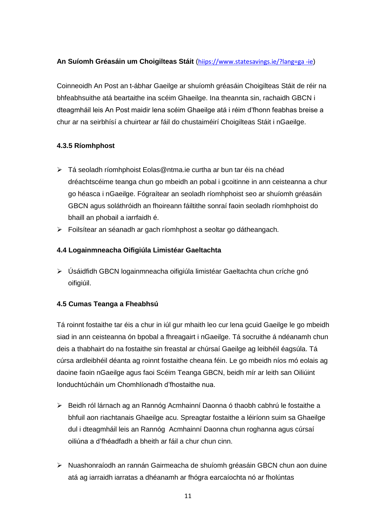#### **An Suíomh Gréasáin um Choigilteas Stáit** (hiips://www.statesavings.ie/?lang=ga -ie)

Coinneoidh An Post an t-ábhar Gaeilge ar shuíomh gréasáin Choigilteas Stáit de réir na bhfeabhsuithe atá beartaithe ina scéim Ghaeilge. Ina theannta sin, rachaidh GBCN i dteagmháil leis An Post maidir lena scéim Ghaeilge atá i réim d'fhonn feabhas breise a chur ar na seirbhísí a chuirtear ar fáil do chustaiméirí Choigilteas Stáit i nGaeilge.

#### **4.3.5 Ríomhphost**

- > Tá seoladh ríomhphoist Eolas@ntma.ie curtha ar bun tar éis na chéad dréachtscéime teanga chun go mbeidh an pobal i gcoitinne in ann ceisteanna a chur go héasca i nGaeilge. Fógraítear an seoladh ríomhphoist seo ar shuíomh gréasáin GBCN agus soláthróidh an fhoireann fáiltithe sonraí faoin seoladh ríomhphoist do bhaill an phobail a iarrfaidh é.
- Foilsítear an séanadh ar gach ríomhphost a seoltar go dátheangach.

#### **4.4 Logainmneacha Oifigiúla Limistéar Gaeltachta**

 Úsáidfidh GBCN logainmneacha oifigiúla limistéar Gaeltachta chun críche gnó oifigiúil.

#### **4.5 Cumas Teanga a Fheabhsú**

Tá roinnt fostaithe tar éis a chur in iúl gur mhaith leo cur lena gcuid Gaeilge le go mbeidh siad in ann ceisteanna ón bpobal a fhreagairt i nGaeilge. Tá socruithe á ndéanamh chun deis a thabhairt do na fostaithe sin freastal ar chúrsaí Gaeilge ag leibhéil éagsúla. Tá cúrsa ardleibhéil déanta ag roinnt fostaithe cheana féin. Le go mbeidh níos mó eolais ag daoine faoin nGaeilge agus faoi Scéim Teanga GBCN, beidh mír ar leith san Oiliúint Ionduchtúcháin um Chomhlíonadh d'fhostaithe nua.

- Beidh ról lárnach ag an Rannóg Acmhainní Daonna ó thaobh cabhrú le fostaithe a bhfuil aon riachtanais Ghaeilge acu. Spreagtar fostaithe a léiríonn suim sa Ghaeilge dul i dteagmháil leis an Rannóg Acmhainní Daonna chun roghanna agus cúrsaí oiliúna a d'fhéadfadh a bheith ar fáil a chur chun cinn.
- Nuashonraíodh an rannán Gairmeacha de shuíomh gréasáin GBCN chun aon duine atá ag iarraidh iarratas a dhéanamh ar fhógra earcaíochta nó ar fholúntas